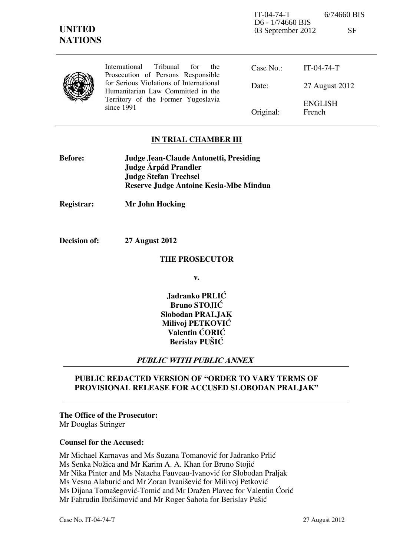IT-04-74-T 6/74660 BIS D6 - 1/74660 BIS 03 September 2012 SF

| ×<br>7<br>۰, |  |
|--------------|--|
| ۰.<br>1. 1   |  |

|  | <b>Tribunal</b><br>International<br>for<br>the<br>Prosecution of Persons Responsible                                             | Case No.  | $IT-04-74-T$             |
|--|----------------------------------------------------------------------------------------------------------------------------------|-----------|--------------------------|
|  | for Serious Violations of International<br>Humanitarian Law Committed in the<br>Territory of the Former Yugoslavia<br>since 1991 | Date:     | 27 August 2012           |
|  |                                                                                                                                  | Original: | <b>ENGLISH</b><br>French |

# **IN TRIAL CHAMBER III**

| <b>Before:</b> | Judge Jean-Claude Antonetti, Presiding |
|----------------|----------------------------------------|
|                | Judge Árpád Prandler                   |
|                | <b>Judge Stefan Trechsel</b>           |
|                | Reserve Judge Antoine Kesia-Mbe Mindua |

**Registrar: Mr John Hocking** 

**Decision of: 27 August 2012** 

#### **THE PROSECUTOR**

**v.** 

Jadranko PRLIĆ **Bruno STOJIĆ Slobodan PRALJAK Milivoj PETKOVIĆ Valentin CORIC Berislav PUŠIĆ** 

## **PUBLIC WITH PUBLIC ANNEX**

# **PUBLIC REDACTED VERSION OF "ORDER TO VARY TERMS OF PROVISIONAL RELEASE FOR ACCUSED SLOBODAN PRALJAK"**

## **The Office of the Prosecutor:**

Mr Douglas Stringer

#### **Counsel for the Accused:**

Mr Michael Karnavas and Ms Suzana Tomanović for Jadranko Prlić Ms Senka Nožica and Mr Karim A. A. Khan for Bruno Stojić Mr Nika Pinter and Ms Natacha Fauveau-Ivanović for Slobodan Praljak Ms Vesna Alaburić and Mr Zoran Ivanišević for Milivoj Petković Ms Dijana Tomašegović-Tomić and Mr Dražen Plavec for Valentin Ćorić Mr Fahrudin Ibrišimović and Mr Roger Sahota for Berislav Pušić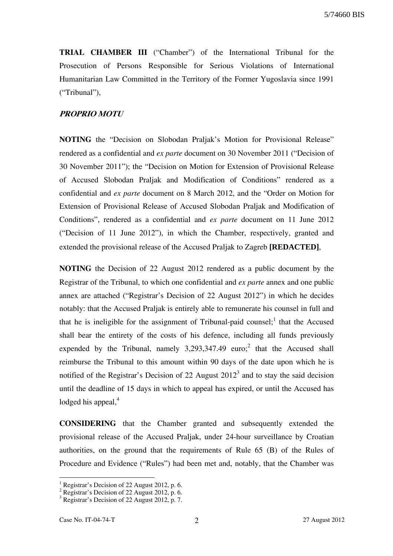**TRIAL CHAMBER III** ("Chamber") of the International Tribunal for the Prosecution of Persons Responsible for Serious Violations of International Humanitarian Law Committed in the Territory of the Former Yugoslavia since 1991 ("Tribunal"),

# **PROPRIO MOTU**

**NOTING** the "Decision on Slobodan Praljak's Motion for Provisional Release" rendered as a confidential and *ex parte* document on 30 November 2011 ("Decision of 30 November 2011"); the "Decision on Motion for Extension of Provisional Release of Accused Slobodan Praljak and Modification of Conditions" rendered as a confidential and *ex parte* document on 8 March 2012, and the "Order on Motion for Extension of Provisional Release of Accused Slobodan Praljak and Modification of Conditions", rendered as a confidential and *ex parte* document on 11 June 2012 ("Decision of 11 June 2012"), in which the Chamber, respectively, granted and extended the provisional release of the Accused Praljak to Zagreb **[REDACTED]**,

**NOTING** the Decision of 22 August 2012 rendered as a public document by the Registrar of the Tribunal, to which one confidential and *ex parte* annex and one public annex are attached ("Registrar's Decision of 22 August 2012") in which he decides notably: that the Accused Praljak is entirely able to remunerate his counsel in full and that he is ineligible for the assignment of Tribunal-paid counsel;<sup>1</sup> that the Accused shall bear the entirety of the costs of his defence, including all funds previously expended by the Tribunal, namely  $3,293,347.49$  euro;<sup>2</sup> that the Accused shall reimburse the Tribunal to this amount within 90 days of the date upon which he is notified of the Registrar's Decision of 22 August  $2012<sup>3</sup>$  and to stay the said decision until the deadline of 15 days in which to appeal has expired, or until the Accused has lodged his appeal, $4$ 

**CONSIDERING** that the Chamber granted and subsequently extended the provisional release of the Accused Praljak, under 24-hour surveillance by Croatian authorities, on the ground that the requirements of Rule 65 (B) of the Rules of Procedure and Evidence ("Rules") had been met and, notably, that the Chamber was

 $\overline{a}$ 

<sup>&</sup>lt;sup>1</sup> Registrar's Decision of 22 August 2012, p. 6.

<sup>&</sup>lt;sup>2</sup> Registrar's Decision of 22 August 2012, p. 6.

<sup>3</sup> Registrar's Decision of 22 August 2012, p. 7.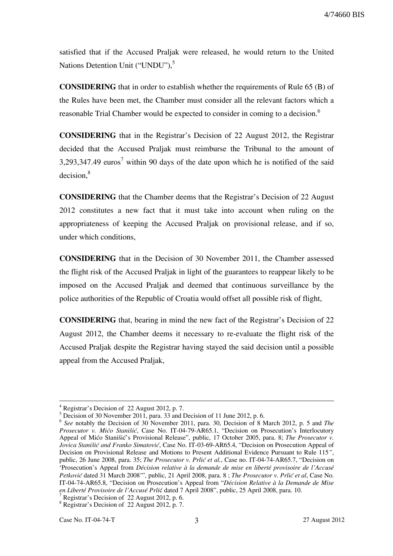satisfied that if the Accused Praljak were released, he would return to the United Nations Detention Unit ("UNDU").<sup>5</sup>

**CONSIDERING** that in order to establish whether the requirements of Rule 65 (B) of the Rules have been met, the Chamber must consider all the relevant factors which a reasonable Trial Chamber would be expected to consider in coming to a decision.<sup>6</sup>

**CONSIDERING** that in the Registrar's Decision of 22 August 2012, the Registrar decided that the Accused Praljak must reimburse the Tribunal to the amount of 3,293,347.49 euros<sup>7</sup> within 90 days of the date upon which he is notified of the said  $decision, <sup>8</sup>$ 

**CONSIDERING** that the Chamber deems that the Registrar's Decision of 22 August 2012 constitutes a new fact that it must take into account when ruling on the appropriateness of keeping the Accused Praljak on provisional release, and if so, under which conditions,

**CONSIDERING** that in the Decision of 30 November 2011, the Chamber assessed the flight risk of the Accused Praljak in light of the guarantees to reappear likely to be imposed on the Accused Praljak and deemed that continuous surveillance by the police authorities of the Republic of Croatia would offset all possible risk of flight,

**CONSIDERING** that, bearing in mind the new fact of the Registrar's Decision of 22 August 2012, the Chamber deems it necessary to re-evaluate the flight risk of the Accused Praljak despite the Registrar having stayed the said decision until a possible appeal from the Accused Praljak,

1

<sup>4</sup> Registrar's Decision of 22 August 2012, p. 7.

<sup>&</sup>lt;sup>5</sup> Decision of 30 November 2011, para. 33 and Decision of 11 June 2012, p. 6.

<sup>6</sup> *See* notably the Decision of 30 November 2011, para. 30, Decision of 8 March 2012, p. 5 and *The Prosecutor v. Mićo Stanišić*, Case No. IT-04-79-AR65.1, "Decision on Prosecution's Interlocutory Appeal of Mićo Stanišić's Provisional Release", public, 17 October 2005, para. 8; *The Prosecutor v. Jovica Stanišić and Franko Simatović*, Case No. IT-03-69-AR65.4, "Decision on Prosecution Appeal of Decision on Provisional Release and Motions to Present Additional Evidence Pursuant to Rule 115*"*, public, 26 June 2008, para. 35; *The Prosecutor v. Prlić et al.*, Case no. IT-04-74-AR65.7, "Decision on 'Prosecution's Appeal from *Décision relative à la demande de mise en liberté provisoire de l'Accusé Petković* dated 31 March 2008"', public, 21 April 2008, para. 8; *The Prosecutor v. Prlić et al*, Case No. IT-04-74-AR65.8, "Decision on Prosecution's Appeal from "*Décision Relative à la Demande de Mise*  en Liberté Provisoire de l'Accusé Prlić dated 7 April 2008", public, 25 April 2008, para. 10.

<sup>&</sup>lt;sup>7</sup> Registrar's Decision of 22 August 2012, p. 6.

<sup>8</sup> Registrar's Decision of 22 August 2012, p. 7.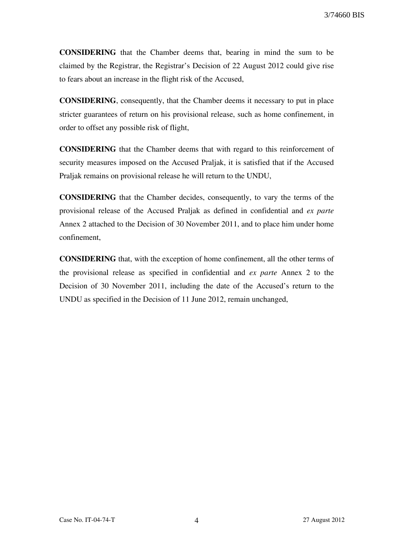**CONSIDERING** that the Chamber deems that, bearing in mind the sum to be claimed by the Registrar, the Registrar's Decision of 22 August 2012 could give rise to fears about an increase in the flight risk of the Accused,

**CONSIDERING**, consequently, that the Chamber deems it necessary to put in place stricter guarantees of return on his provisional release, such as home confinement, in order to offset any possible risk of flight,

**CONSIDERING** that the Chamber deems that with regard to this reinforcement of security measures imposed on the Accused Praljak, it is satisfied that if the Accused Praljak remains on provisional release he will return to the UNDU,

**CONSIDERING** that the Chamber decides, consequently, to vary the terms of the provisional release of the Accused Praljak as defined in confidential and *ex parte* Annex 2 attached to the Decision of 30 November 2011, and to place him under home confinement,

**CONSIDERING** that, with the exception of home confinement, all the other terms of the provisional release as specified in confidential and *ex parte* Annex 2 to the Decision of 30 November 2011, including the date of the Accused's return to the UNDU as specified in the Decision of 11 June 2012, remain unchanged,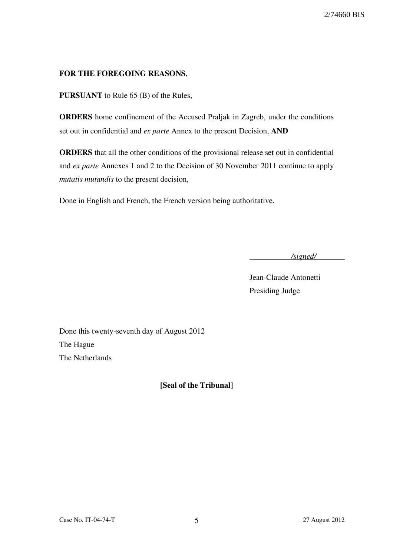# **FOR THE FOREGOING REASONS**,

**PURSUANT** to Rule 65 (B) of the Rules,

**ORDERS** home confinement of the Accused Praljak in Zagreb, under the conditions set out in confidential and *ex parte* Annex to the present Decision, **AND** 

**ORDERS** that all the other conditions of the provisional release set out in confidential and *ex parte* Annexes 1 and 2 to the Decision of 30 November 2011 continue to apply *mutatis mutandis* to the present decision,

Done in English and French, the French version being authoritative.

*/signed/* 

Jean-Claude Antonetti Presiding Judge

Done this twenty-seventh day of August 2012 The Hague The Netherlands

**₣Seal of the Tribunalğ**